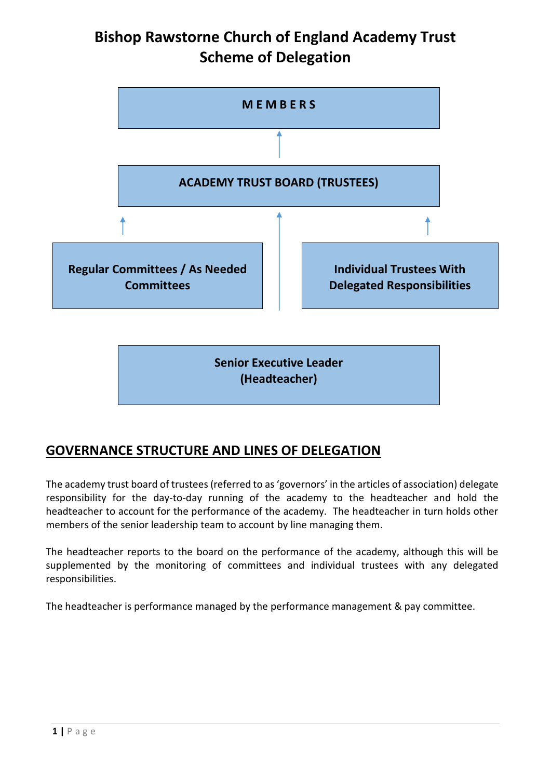# **Bishop Rawstorne Church of England Academy Trust Scheme of Delegation**



**(Headteacher)**

## **GOVERNANCE STRUCTURE AND LINES OF DELEGATION**

The academy trust board of trustees(referred to as 'governors' in the articles of association) delegate responsibility for the day-to-day running of the academy to the headteacher and hold the headteacher to account for the performance of the academy. The headteacher in turn holds other members of the senior leadership team to account by line managing them.

The headteacher reports to the board on the performance of the academy, although this will be supplemented by the monitoring of committees and individual trustees with any delegated responsibilities.

The headteacher is performance managed by the performance management & pay committee.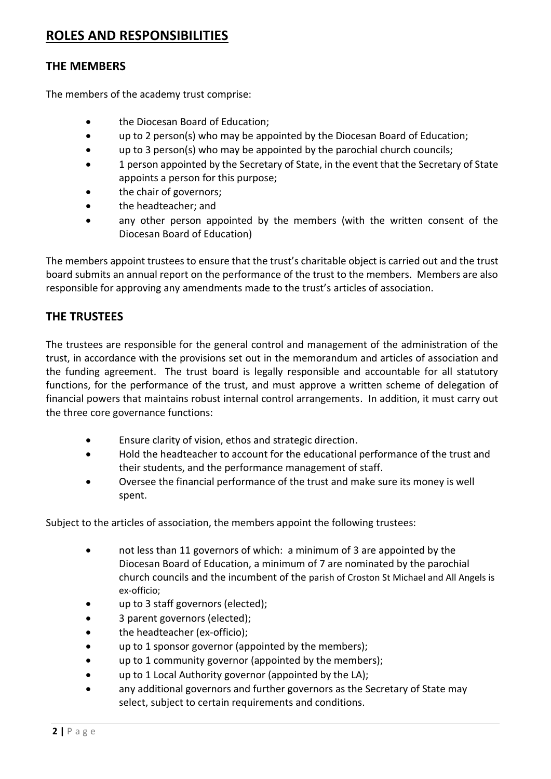### **ROLES AND RESPONSIBILITIES**

#### **THE MEMBERS**

The members of the academy trust comprise:

- the Diocesan Board of Education;
- up to 2 person(s) who may be appointed by the Diocesan Board of Education;
- up to 3 person(s) who may be appointed by the parochial church councils;
- 1 person appointed by the Secretary of State, in the event that the Secretary of State appoints a person for this purpose;
- the chair of governors;
- the headteacher; and
- any other person appointed by the members (with the written consent of the Diocesan Board of Education)

The members appoint trustees to ensure that the trust's charitable object is carried out and the trust board submits an annual report on the performance of the trust to the members. Members are also responsible for approving any amendments made to the trust's articles of association.

#### **THE TRUSTEES**

The trustees are responsible for the general control and management of the administration of the trust, in accordance with the provisions set out in the memorandum and articles of association and the funding agreement. The trust board is legally responsible and accountable for all statutory functions, for the performance of the trust, and must approve a written scheme of delegation of financial powers that maintains robust internal control arrangements. In addition, it must carry out the three core governance functions:

- Ensure clarity of vision, ethos and strategic direction.
- Hold the headteacher to account for the educational performance of the trust and their students, and the performance management of staff.
- Oversee the financial performance of the trust and make sure its money is well spent.

Subject to the articles of association, the members appoint the following trustees:

- not less than 11 governors of which: a minimum of 3 are appointed by the Diocesan Board of Education, a minimum of 7 are nominated by the parochial church councils and the incumbent of the parish of Croston St Michael and All Angels is ex-officio;
- up to 3 staff governors (elected);
- 3 parent governors (elected);
- the headteacher (ex-officio);
- up to 1 sponsor governor (appointed by the members);
- up to 1 community governor (appointed by the members);
- up to 1 Local Authority governor (appointed by the LA);
- any additional governors and further governors as the Secretary of State may select, subject to certain requirements and conditions.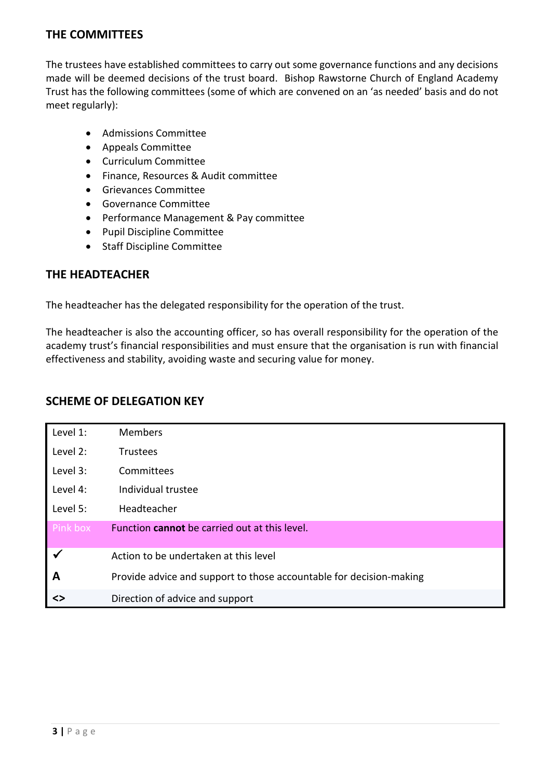#### **THE COMMITTEES**

The trustees have established committees to carry out some governance functions and any decisions made will be deemed decisions of the trust board. Bishop Rawstorne Church of England Academy Trust has the following committees (some of which are convened on an 'as needed' basis and do not meet regularly):

- Admissions Committee
- Appeals Committee
- Curriculum Committee
- Finance, Resources & Audit committee
- Grievances Committee
- Governance Committee
- Performance Management & Pay committee
- Pupil Discipline Committee
- Staff Discipline Committee

#### **THE HEADTEACHER**

The headteacher has the delegated responsibility for the operation of the trust.

The headteacher is also the accounting officer, so has overall responsibility for the operation of the academy trust's financial responsibilities and must ensure that the organisation is run with financial effectiveness and stability, avoiding waste and securing value for money.

| Level 1: | <b>Members</b>                                                      |
|----------|---------------------------------------------------------------------|
| Level 2: | <b>Trustees</b>                                                     |
| Level 3: | Committees                                                          |
| Level 4: | Individual trustee                                                  |
| Level 5: | Headteacher                                                         |
| Pink box | Function cannot be carried out at this level.                       |
| ✔        | Action to be undertaken at this level                               |
| A        | Provide advice and support to those accountable for decision-making |
| <>       | Direction of advice and support                                     |

#### **SCHEME OF DELEGATION KEY**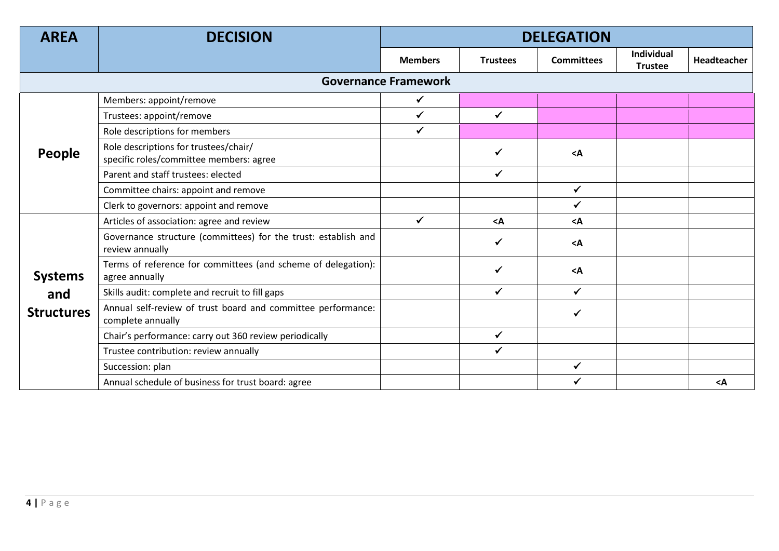| <b>AREA</b>                 | <b>DECISION</b>                                                                   | <b>DELEGATION</b> |                 |                   |                              |             |
|-----------------------------|-----------------------------------------------------------------------------------|-------------------|-----------------|-------------------|------------------------------|-------------|
|                             |                                                                                   | <b>Members</b>    | <b>Trustees</b> | <b>Committees</b> | Individual<br><b>Trustee</b> | Headteacher |
| <b>Governance Framework</b> |                                                                                   |                   |                 |                   |                              |             |
|                             | Members: appoint/remove                                                           | $\checkmark$      |                 |                   |                              |             |
|                             | Trustees: appoint/remove                                                          | $\checkmark$      | $\checkmark$    |                   |                              |             |
| People                      | Role descriptions for members                                                     | $\checkmark$      |                 |                   |                              |             |
|                             | Role descriptions for trustees/chair/<br>specific roles/committee members: agree  |                   | $\checkmark$    | $<$ A             |                              |             |
|                             | Parent and staff trustees: elected                                                |                   | $\checkmark$    |                   |                              |             |
|                             | Committee chairs: appoint and remove                                              |                   |                 | $\checkmark$      |                              |             |
|                             | Clerk to governors: appoint and remove                                            |                   |                 | $\checkmark$      |                              |             |
| <b>Systems</b>              | Articles of association: agree and review                                         | $\checkmark$      | $<$ A           | $<$ A             |                              |             |
|                             | Governance structure (committees) for the trust: establish and<br>review annually |                   | $\checkmark$    | $<$ A             |                              |             |
|                             | Terms of reference for committees (and scheme of delegation):<br>agree annually   |                   | $\checkmark$    | $<$ A             |                              |             |
| and                         | Skills audit: complete and recruit to fill gaps                                   |                   | $\checkmark$    | $\checkmark$      |                              |             |
| <b>Structures</b>           | Annual self-review of trust board and committee performance:<br>complete annually |                   |                 | $\checkmark$      |                              |             |
|                             | Chair's performance: carry out 360 review periodically                            |                   | $\checkmark$    |                   |                              |             |
|                             | Trustee contribution: review annually                                             |                   | $\checkmark$    |                   |                              |             |
|                             | Succession: plan                                                                  |                   |                 | $\checkmark$      |                              |             |
|                             | Annual schedule of business for trust board: agree                                |                   |                 | ✓                 |                              | $<$ A       |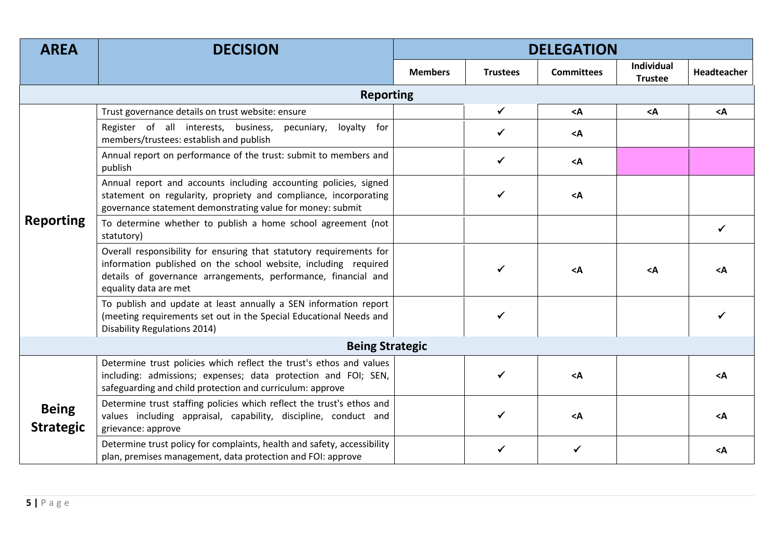| <b>AREA</b>                      | <b>DECISION</b>                                                                                                                                                                                                                   | <b>DELEGATION</b> |                 |                   |                                            |                 |  |  |
|----------------------------------|-----------------------------------------------------------------------------------------------------------------------------------------------------------------------------------------------------------------------------------|-------------------|-----------------|-------------------|--------------------------------------------|-----------------|--|--|
|                                  |                                                                                                                                                                                                                                   | <b>Members</b>    | <b>Trustees</b> | <b>Committees</b> | Individual<br><b>Trustee</b>               | Headteacher     |  |  |
|                                  | <b>Reporting</b>                                                                                                                                                                                                                  |                   |                 |                   |                                            |                 |  |  |
|                                  | Trust governance details on trust website: ensure                                                                                                                                                                                 |                   | $\checkmark$    | $<$ A             | <a< td=""><td><math>&lt;</math>A</td></a<> | $<$ A           |  |  |
|                                  | Register of all interests, business,<br>loyalty for<br>pecuniary,<br>members/trustees: establish and publish                                                                                                                      |                   | ✓               | $<$ A             |                                            |                 |  |  |
|                                  | Annual report on performance of the trust: submit to members and<br>publish                                                                                                                                                       |                   | $\checkmark$    | $<$ A             |                                            |                 |  |  |
| <b>Reporting</b>                 | Annual report and accounts including accounting policies, signed<br>statement on regularity, propriety and compliance, incorporating<br>governance statement demonstrating value for money: submit                                |                   |                 | $<$ A             |                                            |                 |  |  |
|                                  | To determine whether to publish a home school agreement (not<br>statutory)                                                                                                                                                        |                   |                 |                   |                                            |                 |  |  |
|                                  | Overall responsibility for ensuring that statutory requirements for<br>information published on the school website, including required<br>details of governance arrangements, performance, financial and<br>equality data are met |                   |                 | $<$ A             | $<$ A                                      | <a< td=""></a<> |  |  |
|                                  | To publish and update at least annually a SEN information report<br>(meeting requirements set out in the Special Educational Needs and<br>Disability Regulations 2014)                                                            |                   |                 |                   |                                            |                 |  |  |
|                                  | <b>Being Strategic</b>                                                                                                                                                                                                            |                   |                 |                   |                                            |                 |  |  |
| <b>Being</b><br><b>Strategic</b> | Determine trust policies which reflect the trust's ethos and values<br>including: admissions; expenses; data protection and FOI; SEN,<br>safeguarding and child protection and curriculum: approve                                |                   |                 | $<$ A             |                                            | $<$ A           |  |  |
|                                  | Determine trust staffing policies which reflect the trust's ethos and<br>values including appraisal, capability, discipline, conduct and<br>grievance: approve                                                                    |                   |                 | $<$ A             |                                            | $<$ A           |  |  |
|                                  | Determine trust policy for complaints, health and safety, accessibility<br>plan, premises management, data protection and FOI: approve                                                                                            |                   |                 | ✓                 |                                            | $\leq$ A        |  |  |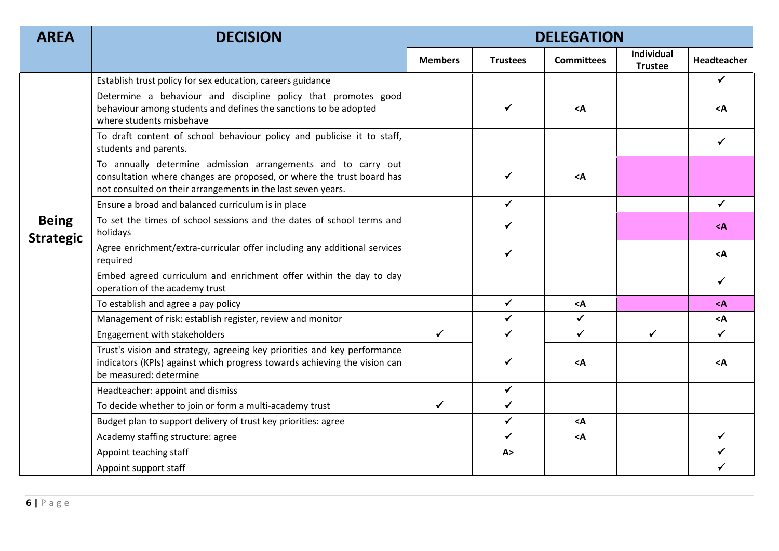| <b>AREA</b>                      | <b>DECISION</b>                                                                                                                                                                                        | <b>DELEGATION</b> |                 |                                                  |                              |                    |
|----------------------------------|--------------------------------------------------------------------------------------------------------------------------------------------------------------------------------------------------------|-------------------|-----------------|--------------------------------------------------|------------------------------|--------------------|
|                                  |                                                                                                                                                                                                        | <b>Members</b>    | <b>Trustees</b> | <b>Committees</b>                                | Individual<br><b>Trustee</b> | <b>Headteacher</b> |
|                                  | Establish trust policy for sex education, careers guidance                                                                                                                                             |                   |                 |                                                  |                              | $\checkmark$       |
|                                  | Determine a behaviour and discipline policy that promotes good<br>behaviour among students and defines the sanctions to be adopted<br>where students misbehave                                         |                   | ✓               | <a< td=""><td></td><td>&lt;Α</td></a<>           |                              | <Α                 |
|                                  | To draft content of school behaviour policy and publicise it to staff,<br>students and parents.                                                                                                        |                   |                 |                                                  |                              |                    |
|                                  | To annually determine admission arrangements and to carry out<br>consultation where changes are proposed, or where the trust board has<br>not consulted on their arrangements in the last seven years. |                   | ✓               | $<$ A                                            |                              |                    |
|                                  | Ensure a broad and balanced curriculum is in place                                                                                                                                                     |                   | $\checkmark$    |                                                  |                              | ✓                  |
| <b>Being</b><br><b>Strategic</b> | To set the times of school sessions and the dates of school terms and<br>holidays                                                                                                                      |                   | ✓               |                                                  |                              | <a< td=""></a<>    |
|                                  | Agree enrichment/extra-curricular offer including any additional services<br>required                                                                                                                  |                   | ✓               |                                                  |                              | <a< td=""></a<>    |
|                                  | Embed agreed curriculum and enrichment offer within the day to day<br>operation of the academy trust                                                                                                   |                   |                 |                                                  |                              | ✓                  |
|                                  | To establish and agree a pay policy                                                                                                                                                                    |                   | $\checkmark$    | <a< td=""><td></td><td><a< td=""></a<></td></a<> |                              | <a< td=""></a<>    |
|                                  | Management of risk: establish register, review and monitor                                                                                                                                             |                   | ✔               | $\checkmark$                                     |                              | $<$ A              |
|                                  | Engagement with stakeholders                                                                                                                                                                           | $\checkmark$      | $\checkmark$    | $\checkmark$                                     | $\checkmark$                 | ✓                  |
|                                  | Trust's vision and strategy, agreeing key priorities and key performance<br>indicators (KPIs) against which progress towards achieving the vision can<br>be measured: determine                        |                   | ✓               | <a< td=""><td></td><td><a< td=""></a<></td></a<> |                              | <a< td=""></a<>    |
|                                  | Headteacher: appoint and dismiss                                                                                                                                                                       |                   | $\checkmark$    |                                                  |                              |                    |
|                                  | To decide whether to join or form a multi-academy trust                                                                                                                                                | ✓                 | $\checkmark$    |                                                  |                              |                    |
|                                  | Budget plan to support delivery of trust key priorities: agree                                                                                                                                         |                   | $\checkmark$    | <a< td=""><td></td><td></td></a<>                |                              |                    |
|                                  | Academy staffing structure: agree                                                                                                                                                                      |                   | $\checkmark$    | $\leq$ A                                         |                              | ✓                  |
|                                  | Appoint teaching staff                                                                                                                                                                                 |                   | A >             |                                                  |                              | ✓                  |
|                                  | Appoint support staff                                                                                                                                                                                  |                   |                 |                                                  |                              |                    |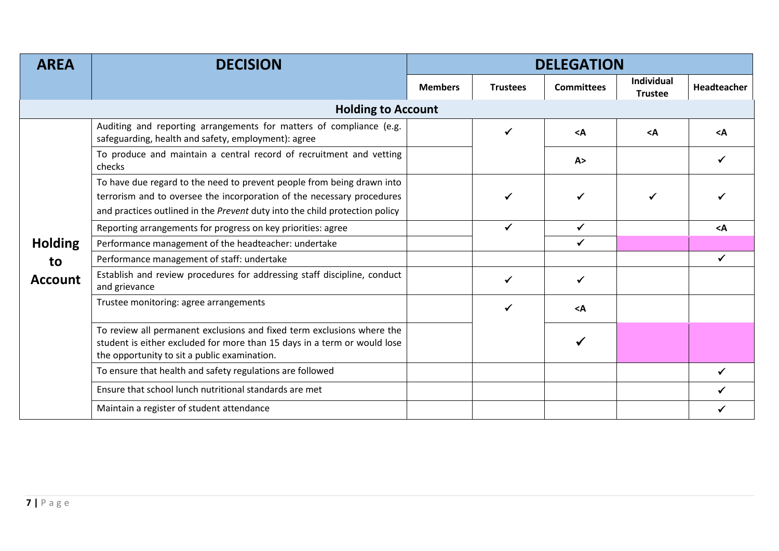| <b>AREA</b>    | <b>DECISION</b>                                                                                                                                                                                                                 | <b>DELEGATION</b> |                 |                   |                                     |                 |
|----------------|---------------------------------------------------------------------------------------------------------------------------------------------------------------------------------------------------------------------------------|-------------------|-----------------|-------------------|-------------------------------------|-----------------|
|                |                                                                                                                                                                                                                                 | <b>Members</b>    | <b>Trustees</b> | <b>Committees</b> | <b>Individual</b><br><b>Trustee</b> | Headteacher     |
|                | <b>Holding to Account</b>                                                                                                                                                                                                       |                   |                 |                   |                                     |                 |
|                | Auditing and reporting arrangements for matters of compliance (e.g.<br>safeguarding, health and safety, employment): agree                                                                                                      |                   | ✓               | $<$ A             | $<$ A                               | $\triangleleft$ |
|                | To produce and maintain a central record of recruitment and vetting<br>checks                                                                                                                                                   |                   |                 | A >               |                                     |                 |
|                | To have due regard to the need to prevent people from being drawn into<br>terrorism and to oversee the incorporation of the necessary procedures<br>and practices outlined in the Prevent duty into the child protection policy |                   |                 |                   |                                     |                 |
|                | Reporting arrangements for progress on key priorities: agree                                                                                                                                                                    |                   | ✓               | $\checkmark$      |                                     | $<$ A           |
| <b>Holding</b> | Performance management of the headteacher: undertake                                                                                                                                                                            |                   |                 |                   |                                     |                 |
| to             | Performance management of staff: undertake                                                                                                                                                                                      |                   |                 |                   |                                     | $\checkmark$    |
| <b>Account</b> | Establish and review procedures for addressing staff discipline, conduct<br>and grievance                                                                                                                                       |                   |                 | ✓                 |                                     |                 |
|                | Trustee monitoring: agree arrangements                                                                                                                                                                                          |                   | $\checkmark$    | $<$ A             |                                     |                 |
|                | To review all permanent exclusions and fixed term exclusions where the<br>student is either excluded for more than 15 days in a term or would lose<br>the opportunity to sit a public examination.                              |                   |                 |                   |                                     |                 |
|                | To ensure that health and safety regulations are followed                                                                                                                                                                       |                   |                 |                   |                                     |                 |
|                | Ensure that school lunch nutritional standards are met                                                                                                                                                                          |                   |                 |                   |                                     |                 |
|                | Maintain a register of student attendance                                                                                                                                                                                       |                   |                 |                   |                                     |                 |